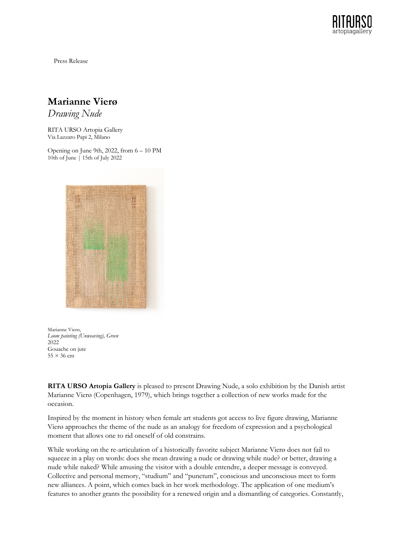

Press Release

## **Marianne Vierø**

*Drawing Nude*

RITA URSO Artopia Gallery Via Lazzaro Papi 2, Milano

Opening on June 9th, 2022, from 6 – 10 PM 10th of June | 15th of July 2022



Marianne Vierø, *Loom painting (Unweaving), Green* 2022 Gouache on jute  $55 \times 36$  cm

**RITA URSO Artopia Gallery** is pleased to present Drawing Nude, a solo exhibition by the Danish artist Marianne Vierø (Copenhagen, 1979), which brings together a collection of new works made for the occasion.

Inspired by the moment in history when female art students got access to live figure drawing, Marianne Vierø approaches the theme of the nude as an analogy for freedom of expression and a psychological moment that allows one to rid oneself of old constrains.

While working on the re-articulation of a historically favorite subject Marianne Vierø does not fail to squeeze in a play on words: does she mean drawing a nude or drawing while nude? or better, drawing a nude while naked? While amusing the visitor with a double entendre, a deeper message is conveyed. Collective and personal memory, "studium" and "punctum", conscious and unconscious meet to form new alliances. A point, which comes back in her work methodology. The application of one medium's features to another grants the possibility for a renewed origin and a dismantling of categories. Constantly,